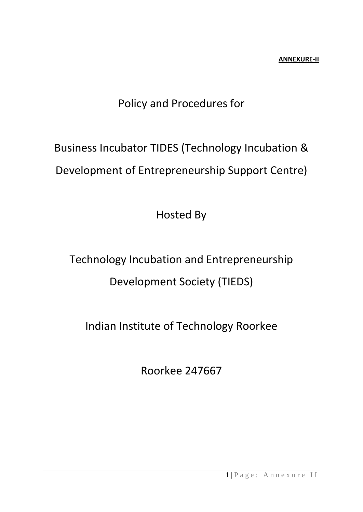# Policy and Procedures for

# Business Incubator TIDES (Technology Incubation & Development of Entrepreneurship Support Centre)

Hosted By

# Technology Incubation and Entrepreneurship Development Society (TIEDS)

# Indian Institute of Technology Roorkee

Roorkee 247667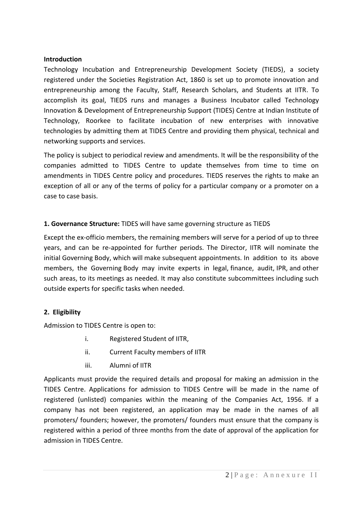#### **Introduction**

Technology Incubation and Entrepreneurship Development Society (TIEDS), a society registered under the Societies Registration Act, 1860 is set up to promote innovation and entrepreneurship among the Faculty, Staff, Research Scholars, and Students at IITR. To accomplish its goal, TIEDS runs and manages a Business Incubator called Technology Innovation & Development of Entrepreneurship Support (TIDES) Centre at Indian Institute of Technology, Roorkee to facilitate incubation of new enterprises with innovative technologies by admitting them at TIDES Centre and providing them physical, technical and networking supports and services.

The policy is subject to periodical review and amendments. It will be the responsibility of the companies admitted to TIDES Centre to update themselves from time to time on amendments in TIDES Centre policy and procedures. TIEDS reserves the rights to make an exception of all or any of the terms of policy for a particular company or a promoter on a case to case basis.

#### **1. Governance Structure:** TIDES will have same governing structure as TIEDS

Except the ex-officio members, the remaining members will serve for a period of up to three years, and can be re-appointed for further periods. The Director, IITR will nominate the initial Governing Body, which will make subsequent appointments. In addition to its above members, the Governing Body may invite experts in legal, finance, audit, IPR, and other such areas, to its meetings as needed. It may also constitute subcommittees including such outside experts for specific tasks when needed.

#### **2. Eligibility**

Admission to TIDES Centre is open to:

- i. Registered Student of IITR,
- ii. Current Faculty members of IITR
- iii. Alumni of IITR

Applicants must provide the required details and proposal for making an admission in the TIDES Centre. Applications for admission to TIDES Centre will be made in the name of registered (unlisted) companies within the meaning of the Companies Act, 1956. If a company has not been registered, an application may be made in the names of all promoters/ founders; however, the promoters/ founders must ensure that the company is registered within a period of three months from the date of approval of the application for admission in TIDES Centre.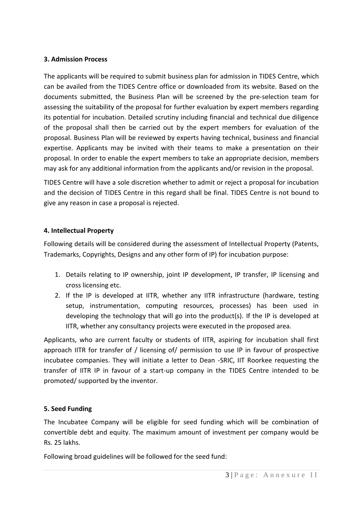### **3. Admission Process**

The applicants will be required to submit business plan for admission in TIDES Centre, which can be availed from the TIDES Centre office or downloaded from its website. Based on the documents submitted, the Business Plan will be screened by the pre-selection team for assessing the suitability of the proposal for further evaluation by expert members regarding its potential for incubation. Detailed scrutiny including financial and technical due diligence of the proposal shall then be carried out by the expert members for evaluation of the proposal. Business Plan will be reviewed by experts having technical, business and financial expertise. Applicants may be invited with their teams to make a presentation on their proposal. In order to enable the expert members to take an appropriate decision, members may ask for any additional information from the applicants and/or revision in the proposal.

TIDES Centre will have a sole discretion whether to admit or reject a proposal for incubation and the decision of TIDES Centre in this regard shall be final. TIDES Centre is not bound to give any reason in case a proposal is rejected.

### **4. Intellectual Property**

Following details will be considered during the assessment of Intellectual Property (Patents, Trademarks, Copyrights, Designs and any other form of IP) for incubation purpose:

- 1. Details relating to IP ownership, joint IP development, IP transfer, IP licensing and cross licensing etc.
- 2. If the IP is developed at IITR, whether any IITR infrastructure (hardware, testing setup, instrumentation, computing resources, processes) has been used in developing the technology that will go into the product(s). If the IP is developed at IITR, whether any consultancy projects were executed in the proposed area.

Applicants, who are current faculty or students of IITR, aspiring for incubation shall first approach IITR for transfer of / licensing of/ permission to use IP in favour of prospective incubatee companies. They will initiate a letter to Dean -SRIC, IIT Roorkee requesting the transfer of IITR IP in favour of a start-up company in the TIDES Centre intended to be promoted/ supported by the inventor.

# **5. Seed Funding**

The Incubatee Company will be eligible for seed funding which will be combination of convertible debt and equity. The maximum amount of investment per company would be Rs. 25 lakhs.

Following broad guidelines will be followed for the seed fund: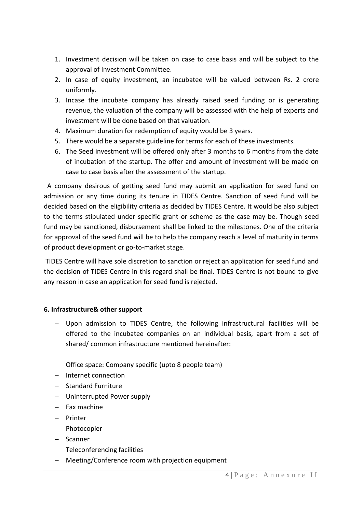- 1. Investment decision will be taken on case to case basis and will be subject to the approval of Investment Committee.
- 2. In case of equity investment, an incubatee will be valued between Rs. 2 crore uniformly.
- 3. Incase the incubate company has already raised seed funding or is generating revenue, the valuation of the company will be assessed with the help of experts and investment will be done based on that valuation.
- 4. Maximum duration for redemption of equity would be 3 years.
- 5. There would be a separate guideline for terms for each of these investments.
- 6. The Seed investment will be offered only after 3 months to 6 months from the date of incubation of the startup. The offer and amount of investment will be made on case to case basis after the assessment of the startup.

A company desirous of getting seed fund may submit an application for seed fund on admission or any time during its tenure in TIDES Centre. Sanction of seed fund will be decided based on the eligibility criteria as decided by TIDES Centre. It would be also subject to the terms stipulated under specific grant or scheme as the case may be. Though seed fund may be sanctioned, disbursement shall be linked to the milestones. One of the criteria for approval of the seed fund will be to help the company reach a level of maturity in terms of product development or go-to-market stage.

TIDES Centre will have sole discretion to sanction or reject an application for seed fund and the decision of TIDES Centre in this regard shall be final. TIDES Centre is not bound to give any reason in case an application for seed fund is rejected.

#### **6. Infrastructure& other support**

- Upon admission to TIDES Centre, the following infrastructural facilities will be offered to the incubatee companies on an individual basis, apart from a set of shared/ common infrastructure mentioned hereinafter:
- Office space: Company specific (upto 8 people team)
- Internet connection
- Standard Furniture
- Uninterrupted Power supply
- $-$  Fax machine
- Printer
- Photocopier
- Scanner
- Teleconferencing facilities
- Meeting/Conference room with projection equipment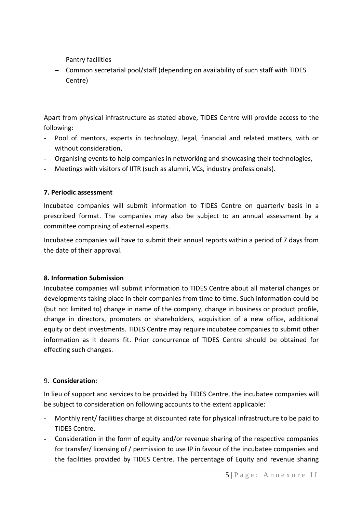- $-$  Pantry facilities
- Common secretarial pool/staff (depending on availability of such staff with TIDES Centre)

Apart from physical infrastructure as stated above, TIDES Centre will provide access to the following:

- Pool of mentors, experts in technology, legal, financial and related matters, with or without consideration,
- Organising events to help companies in networking and showcasing their technologies,
- Meetings with visitors of IITR (such as alumni, VCs, industry professionals).

# **7. Periodic assessment**

Incubatee companies will submit information to TIDES Centre on quarterly basis in a prescribed format. The companies may also be subject to an annual assessment by a committee comprising of external experts.

Incubatee companies will have to submit their annual reports within a period of 7 days from the date of their approval.

# **8. Information Submission**

Incubatee companies will submit information to TIDES Centre about all material changes or developments taking place in their companies from time to time. Such information could be (but not limited to) change in name of the company, change in business or product profile, change in directors, promoters or shareholders, acquisition of a new office, additional equity or debt investments. TIDES Centre may require incubatee companies to submit other information as it deems fit. Prior concurrence of TIDES Centre should be obtained for effecting such changes.

# 9. **Consideration:**

In lieu of support and services to be provided by TIDES Centre, the incubatee companies will be subject to consideration on following accounts to the extent applicable:

- Monthly rent/ facilities charge at discounted rate for physical infrastructure to be paid to TIDES Centre.
- Consideration in the form of equity and/or revenue sharing of the respective companies for transfer/ licensing of / permission to use IP in favour of the incubatee companies and the facilities provided by TIDES Centre. The percentage of Equity and revenue sharing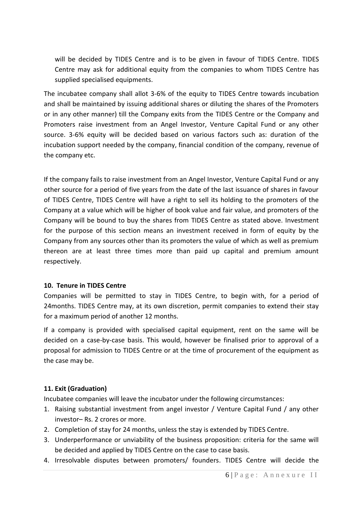will be decided by TIDES Centre and is to be given in favour of TIDES Centre. TIDES Centre may ask for additional equity from the companies to whom TIDES Centre has supplied specialised equipments.

The incubatee company shall allot 3-6% of the equity to TIDES Centre towards incubation and shall be maintained by issuing additional shares or diluting the shares of the Promoters or in any other manner) till the Company exits from the TIDES Centre or the Company and Promoters raise investment from an Angel Investor, Venture Capital Fund or any other source. 3-6% equity will be decided based on various factors such as: duration of the incubation support needed by the company, financial condition of the company, revenue of the company etc.

If the company fails to raise investment from an Angel Investor, Venture Capital Fund or any other source for a period of five years from the date of the last issuance of shares in favour of TIDES Centre, TIDES Centre will have a right to sell its holding to the promoters of the Company at a value which will be higher of book value and fair value, and promoters of the Company will be bound to buy the shares from TIDES Centre as stated above. Investment for the purpose of this section means an investment received in form of equity by the Company from any sources other than its promoters the value of which as well as premium thereon are at least three times more than paid up capital and premium amount respectively.

#### **10. Tenure in TIDES Centre**

Companies will be permitted to stay in TIDES Centre, to begin with, for a period of 24months. TIDES Centre may, at its own discretion, permit companies to extend their stay for a maximum period of another 12 months.

If a company is provided with specialised capital equipment, rent on the same will be decided on a case-by-case basis. This would, however be finalised prior to approval of a proposal for admission to TIDES Centre or at the time of procurement of the equipment as the case may be.

#### **11. Exit (Graduation)**

Incubatee companies will leave the incubator under the following circumstances:

- 1. Raising substantial investment from angel investor / Venture Capital Fund / any other investor– Rs. 2 crores or more.
- 2. Completion of stay for 24 months, unless the stay is extended by TIDES Centre.
- 3. Underperformance or unviability of the business proposition: criteria for the same will be decided and applied by TIDES Centre on the case to case basis.
- 4. Irresolvable disputes between promoters/ founders. TIDES Centre will decide the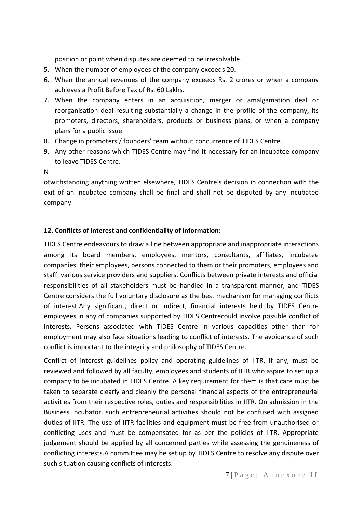position or point when disputes are deemed to be irresolvable.

- 5. When the number of employees of the company exceeds 20.
- 6. When the annual revenues of the company exceeds Rs. 2 crores or when a company achieves a Profit Before Tax of Rs. 60 Lakhs.
- 7. When the company enters in an acquisition, merger or amalgamation deal or reorganisation deal resulting substantially a change in the profile of the company, its promoters, directors, shareholders, products or business plans, or when a company plans for a public issue.
- 8. Change in promoters'/ founders' team without concurrence of TIDES Centre.
- 9. Any other reasons which TIDES Centre may find it necessary for an incubatee company to leave TIDES Centre.
- N

otwithstanding anything written elsewhere, TIDES Centre's decision in connection with the exit of an incubatee company shall be final and shall not be disputed by any incubatee company.

# **12. Conflicts of interest and confidentiality of information:**

TIDES Centre endeavours to draw a line between appropriate and inappropriate interactions among its board members, employees, mentors, consultants, affiliates, incubatee companies, their employees, persons connected to them or their promoters, employees and staff, various service providers and suppliers. Conflicts between private interests and official responsibilities of all stakeholders must be handled in a transparent manner, and TIDES Centre considers the full voluntary disclosure as the best mechanism for managing conflicts of interest.Any significant, direct or indirect, financial interests held by TIDES Centre employees in any of companies supported by TIDES Centrecould involve possible conflict of interests. Persons associated with TIDES Centre in various capacities other than for employment may also face situations leading to conflict of interests. The avoidance of such conflict is important to the integrity and philosophy of TIDES Centre.

Conflict of interest guidelines policy and operating guidelines of IITR, if any, must be reviewed and followed by all faculty, employees and students of IITR who aspire to set up a company to be incubated in TIDES Centre. A key requirement for them is that care must be taken to separate clearly and cleanly the personal financial aspects of the entrepreneurial activities from their respective roles, duties and responsibilities in IITR. On admission in the Business Incubator, such entrepreneurial activities should not be confused with assigned duties of IITR. The use of IITR facilities and equipment must be free from unauthorised or conflicting uses and must be compensated for as per the policies of IITR. Appropriate judgement should be applied by all concerned parties while assessing the genuineness of conflicting interests.A committee may be set up by TIDES Centre to resolve any dispute over such situation causing conflicts of interests.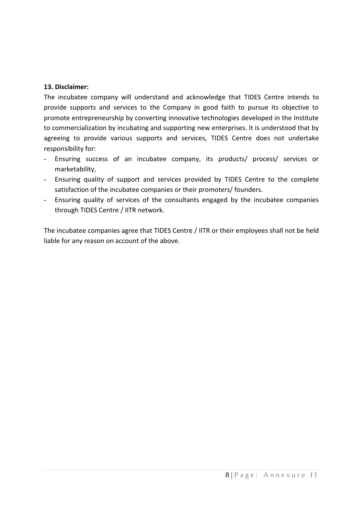## **13. Disclaimer:**

The incubatee company will understand and acknowledge that TIDES Centre intends to provide supports and services to the Company in good faith to pursue its objective to promote entrepreneurship by converting innovative technologies developed in the Institute to commercialization by incubating and supporting new enterprises. It is understood that by agreeing to provide various supports and services, TIDES Centre does not undertake responsibility for:

- Ensuring success of an incubatee company, its products/ process/ services or marketability,
- Ensuring quality of support and services provided by TIDES Centre to the complete satisfaction of the incubatee companies or their promoters/ founders.
- Ensuring quality of services of the consultants engaged by the incubatee companies through TIDES Centre / IITR network.

The incubatee companies agree that TIDES Centre / IITR or their employees shall not be held liable for any reason on account of the above.